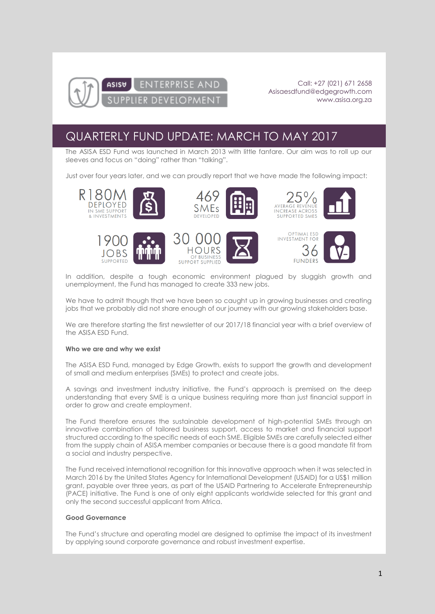

ASISU

Call: +27 (021) 671 2658 [Asisaesdfund@edgegrowth.com](mailto:Asisaesdfund@edgegrowth.com) [www.asisa.org.za](http://www.asisa.org.za/)

# QUARTERLY FUND UPDATE: MARCH TO MAY 2017

**ENTERPRISE AND** 

**DEVELOPMENT** 

The ASISA ESD Fund was launched in March 2013 with little fanfare. Our aim was to roll up our sleeves and focus on "doing" rather than "talking".

Just over four years later, and we can proudly report that we have made the following impact:



















In addition, despite a tough economic environment plagued by sluggish growth and unemployment, the Fund has managed to create 333 new jobs.

We have to admit though that we have been so caught up in growing businesses and creating jobs that we probably did not share enough of our journey with our growing stakeholders base.

We are therefore starting the first newsletter of our 2017/18 financial year with a brief overview of the ASISA ESD Fund.

### **Who we are and why we exist**

The ASISA ESD Fund, managed by Edge Growth, exists to support the growth and development of small and medium enterprises (SMEs) to protect and create jobs.

A savings and investment industry initiative, the Fund's approach is premised on the deep understanding that every SME is a unique business requiring more than just financial support in order to grow and create employment.

The Fund therefore ensures the sustainable development of high-potential SMEs through an innovative combination of tailored business support, access to market and financial support structured according to the specific needs of each SME. Eligible SMEs are carefully selected either from the supply chain of ASISA member companies or because there is a good mandate fit from a social and industry perspective.

The Fund received international recognition for this innovative approach when it was selected in March 2016 by the United States Agency for International Development (USAID) for a US\$1 million grant, payable over three years, as part of the USAID Partnering to Accelerate Entrepreneurship (PACE) initiative. The Fund is one of only eight applicants worldwide selected for this grant and only the second successful applicant from Africa.

### **Good Governance**

The Fund's structure and operating model are designed to optimise the impact of its investment by applying sound corporate governance and robust investment expertise.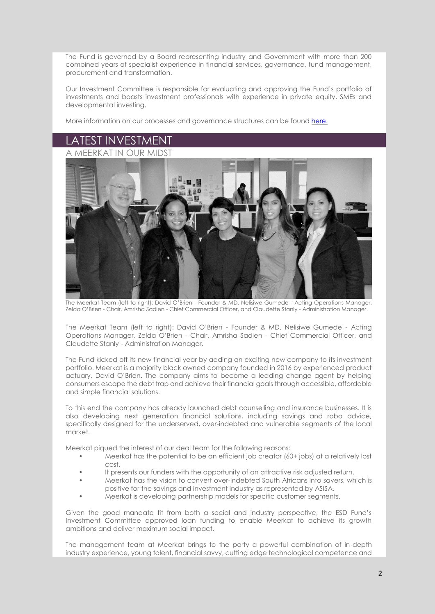The Fund is governed by a Board representing industry and Government with more than 200 combined years of specialist experience in financial services, governance, fund management, procurement and transformation.

Our Investment Committee is responsible for evaluating and approving the Fund's portfolio of investments and boasts investment professionals with experience in private equity, SMEs and developmental investing.

More information on our processes and governance structures can be found [here.](https://www.asisa.org.za/foster-the-future/asisa-enterprise-supplier-development-fund/)

## LATEST INVESTMENT





The Meerkat Team (left to right): David O'Brien - Founder & MD, Nelisiwe Gumede - Acting Operations Manager, Zelda O'Brien - Chair, Amrisha Sadien - Chief Commercial Officer, and Claudette Stanly - Administration Manager.

The Meerkat Team (left to right): David O'Brien - Founder & MD, Nelisiwe Gumede - Acting Operations Manager, Zelda O'Brien - Chair, Amrisha Sadien - Chief Commercial Officer, and Claudette Stanly - Administration Manager.

The Fund kicked off its new financial year by adding an exciting new company to its investment portfolio. Meerkat is a majority black owned company founded in 2016 by experienced product actuary, David O'Brien. The company aims to become a leading change agent by helping consumers escape the debt trap and achieve their financial goals through accessible, affordable and simple financial solutions.

To this end the company has already launched debt counselling and insurance businesses. It is also developing next generation financial solutions, including savings and robo advice, specifically designed for the underserved, over-indebted and vulnerable segments of the local market.

Meerkat piqued the interest of our deal team for the following reasons:

- Meerkat has the potential to be an efficient job creator (60+ jobs) at a relatively lost cost.
- It presents our funders with the opportunity of an attractive risk adjusted return.
- Meerkat has the vision to convert over-indebted South Africans into savers, which is positive for the savings and investment industry as represented by ASISA.
- Meerkat is developing partnership models for specific customer segments.

Given the good mandate fit from both a social and industry perspective, the ESD Fund's Investment Committee approved loan funding to enable Meerkat to achieve its growth ambitions and deliver maximum social impact.

The management team at Meerkat brings to the party a powerful combination of in-depth industry experience, young talent, financial savvy, cutting edge technological competence and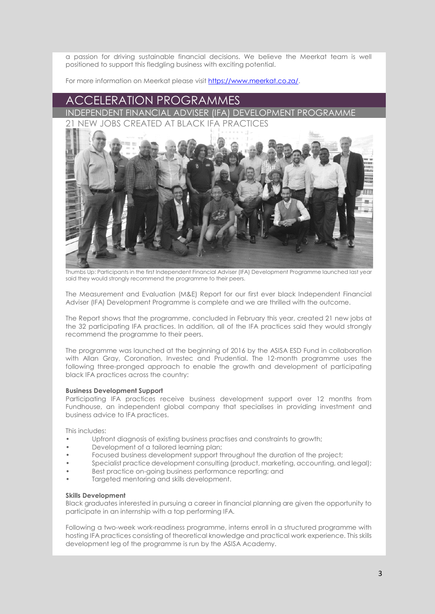a passion for driving sustainable financial decisions. We believe the Meerkat team is well positioned to support this fledgling business with exciting potential.

For more information on Meerkat please visit [https://www.meerkat.co.za/.](https://www.meerkat.co.za/)

### CCELERATION PROGRAMMES

INDEPENDENT FINANCIAL ADVISER (IFA) DEVELOPMENT 21 NEW JOBS CREATED AT BLACK IFA PRACTICES



Thumbs Up: Participants in the first Independent Financial Adviser (IFA) Development Programme launched last year said they would strongly recommend the programme to their peers.

The Measurement and Evaluation (M&E) Report for our first ever black Independent Financial Adviser (IFA) Development Programme is complete and we are thrilled with the outcome.

The Report shows that the programme, concluded in February this year, created 21 new jobs at the 32 participating IFA practices. In addition, all of the IFA practices said they would strongly recommend the programme to their peers.

The programme was launched at the beginning of 2016 by the ASISA ESD Fund in collaboration with Allan Gray, Coronation, Investec and Prudential. The 12-month programme uses the following three-pronged approach to enable the growth and development of participating black IFA practices across the country:

### **Business Development Support**

Participating IFA practices receive business development support over 12 months from Fundhouse, an independent global company that specialises in providing investment and business advice to IFA practices.

This includes:

- Upfront diagnosis of existing business practises and constraints to growth;
- Development of a tailored learning plan;
- Focused business development support throughout the duration of the project;
- Specialist practice development consulting (product, marketing, accounting, and legal);
- Best practice on-going business performance reporting; and
- Targeted mentoring and skills development.

### **Skills Development**

Black graduates interested in pursuing a career in financial planning are given the opportunity to participate in an internship with a top performing IFA.

Following a two-week work-readiness programme, interns enroll in a structured programme with hosting IFA practices consisting of theoretical knowledge and practical work experience. This skills development leg of the programme is run by the ASISA Academy.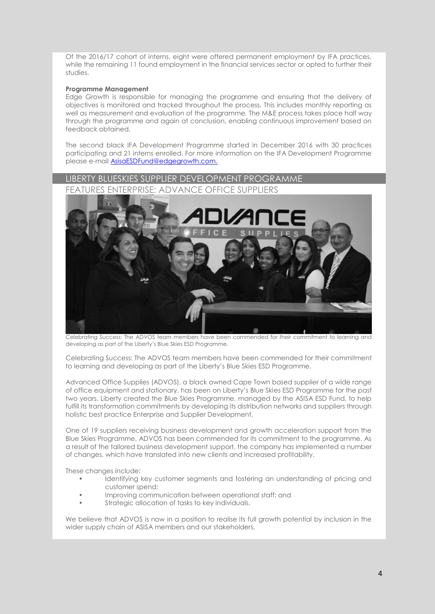Of the 2016/17 cohort of interns, eight were offered permanent employment by IFA practices, while the remaining 11 found employment in the financial services sector or opted to further their studies.

### **Programme Management**

Edge Growth is responsible for managing the programme and ensuring that the delivery of objectives is monitored and tracked throughout the process. This includes monthly reporting as well as measurement and evaluation of the programme. The M&E process takes place half way through the programme and again at conclusion, enabling continuous improvement based on feedback obtained.

The second black IFA Development Programme started in December 2016 with 30 practices participating and 21 interns enrolled. For more information on the IFA Development Programme please e-mail [AsisaESDFund@edgegrowth.com.](mailto:AsisaESDFund@edgegrowth.com.)



Celebrating Success: The ADVOS team members have been commended for their commitment to learning and developing as part of the Liberty's Blue Skies ESD Programme.

Celebrating Success: The ADVOS team members have been commended for their commitment to learning and developing as part of the Liberty's Blue Skies ESD Programme.

Advanced Office Supplies (ADVOS), a black owned Cape Town based supplier of a wide range of office equipment and stationary, has been on Liberty's Blue Skies ESD Programme for the past two years. Liberty created the Blue Skies Programme, managed by the ASISA ESD Fund, to help fulfill its transformation commitments by developing its distribution networks and suppliers through holistic best practice Enterprise and Supplier Development.

One of 19 suppliers receiving business development and growth acceleration support from the Blue Skies Programme, ADVOS has been commended for its commitment to the programme. As a result of the tailored business development support, the company has implemented a number of changes, which have translated into new clients and increased profitability.

These changes include:

- Identifying key customer segments and fostering an understanding of pricing and customer spend;
- Improving communication between operational staff; and
- Strategic allocation of tasks to key individuals.

We believe that ADVOS is now in a position to realise its full growth potential by inclusion in the wider supply chain of ASISA members and our stakeholders.